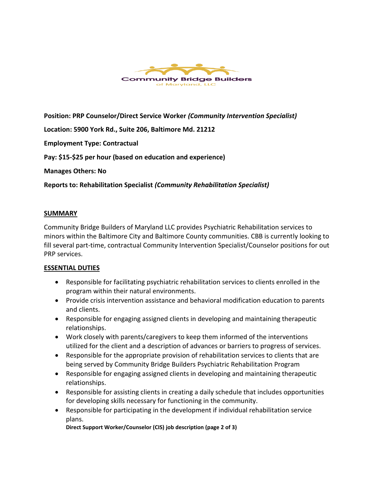

**Position: PRP Counselor/Direct Service Worker** *(Community Intervention Specialist)*

**Location: 5900 York Rd., Suite 206, Baltimore Md. 21212**

**Employment Type: Contractual**

**Pay: \$15-\$25 per hour (based on education and experience)**

**Manages Others: No**

**Reports to: Rehabilitation Specialist** *(Community Rehabilitation Specialist)*

#### **SUMMARY**

Community Bridge Builders of Maryland LLC provides Psychiatric Rehabilitation services to minors within the Baltimore City and Baltimore County communities. CBB is currently looking to fill several part-time, contractual Community Intervention Specialist/Counselor positions for out PRP services.

#### **ESSENTIAL DUTIES**

- Responsible for facilitating psychiatric rehabilitation services to clients enrolled in the program within their natural environments.
- Provide crisis intervention assistance and behavioral modification education to parents and clients.
- Responsible for engaging assigned clients in developing and maintaining therapeutic relationships.
- Work closely with parents/caregivers to keep them informed of the interventions utilized for the client and a description of advances or barriers to progress of services.
- Responsible for the appropriate provision of rehabilitation services to clients that are being served by Community Bridge Builders Psychiatric Rehabilitation Program
- Responsible for engaging assigned clients in developing and maintaining therapeutic relationships.
- Responsible for assisting clients in creating a daily schedule that includes opportunities for developing skills necessary for functioning in the community.
- Responsible for participating in the development if individual rehabilitation service plans.

**Direct Support Worker/Counselor (CIS) job description (page 2 of 3)**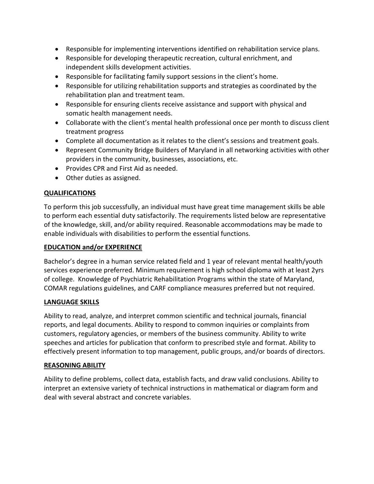- Responsible for implementing interventions identified on rehabilitation service plans.
- Responsible for developing therapeutic recreation, cultural enrichment, and independent skills development activities.
- Responsible for facilitating family support sessions in the client's home.
- Responsible for utilizing rehabilitation supports and strategies as coordinated by the rehabilitation plan and treatment team.
- Responsible for ensuring clients receive assistance and support with physical and somatic health management needs.
- Collaborate with the client's mental health professional once per month to discuss client treatment progress
- Complete all documentation as it relates to the client's sessions and treatment goals.
- Represent Community Bridge Builders of Maryland in all networking activities with other providers in the community, businesses, associations, etc.
- Provides CPR and First Aid as needed.
- Other duties as assigned.

# **QUALIFICATIONS**

To perform this job successfully, an individual must have great time management skills be able to perform each essential duty satisfactorily. The requirements listed below are representative of the knowledge, skill, and/or ability required. Reasonable accommodations may be made to enable individuals with disabilities to perform the essential functions.

## **EDUCATION and/or EXPERIENCE**

Bachelor's degree in a human service related field and 1 year of relevant mental health/youth services experience preferred. Minimum requirement is high school diploma with at least 2yrs of college. Knowledge of Psychiatric Rehabilitation Programs within the state of Maryland, COMAR regulations guidelines, and CARF compliance measures preferred but not required.

## **LANGUAGE SKILLS**

Ability to read, analyze, and interpret common scientific and technical journals, financial reports, and legal documents. Ability to respond to common inquiries or complaints from customers, regulatory agencies, or members of the business community. Ability to write speeches and articles for publication that conform to prescribed style and format. Ability to effectively present information to top management, public groups, and/or boards of directors.

## **REASONING ABILITY**

Ability to define problems, collect data, establish facts, and draw valid conclusions. Ability to interpret an extensive variety of technical instructions in mathematical or diagram form and deal with several abstract and concrete variables.